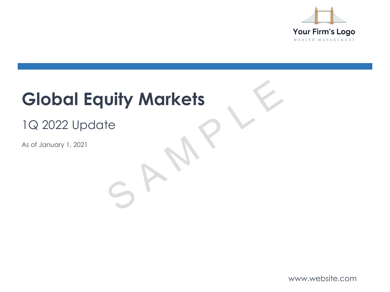

# **Global Equity Markets** Uity Markets<br>
te<br>
S A M P L E

## 1Q 2022 Update

As of January 1, 2021

www.website.com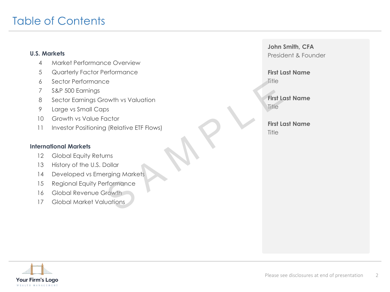### Table of Contents

### **U.S. Markets**

- 4 Market Performance Overview
- 5 Quarterly Factor Performance
- 6 Sector Performance
- 7 S&P 500 Earnings
- 8 Sector Earnings Growth vs Valuation
- 9 Large vs Small Caps
- 10 Growth vs Value Factor
- 11 Investor Positioning (Relative ETF Flows) First Leader<br>
Solution<br>
In (Relative ETF Flows)<br>
In The First Leader<br>
First Leader<br>
First Leader<br>
First Leader<br>
First Leader<br>
First Leader<br>
First Leader<br>
First Leader<br>
First Leader<br>
First Leader<br>
First Leader<br>
First Leader

### **International Markets**

- 12 Global Equity Returns
- 13 History of the U.S. Dollar
- 14 Developed vs Emerging Markets
- 15 Regional Equity Performance
- 16 Global Revenue Growth
- 17 Global Market Valuations

**John Smith, CFA** President & Founder

**First Last Name Title** 

**First Last Name Title** 

**First Last Name Title** 

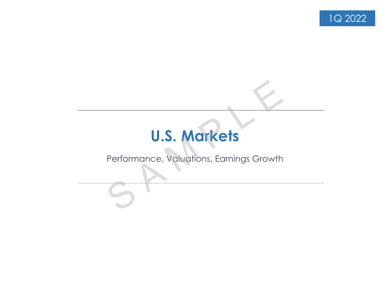

## **U.S. Markets**

# Performance, Valuations, Earnings Growth U.S. Markets<br>Performance, Valuations, Earnings Growth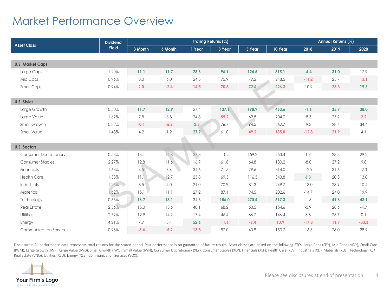### Market Performance Overview

| <b>Asset Class</b>            | <b>Dividend</b> | Trailing Returns (%) |         |        |        |        |         |         | Annual Returns (%) |         |  |  |
|-------------------------------|-----------------|----------------------|---------|--------|--------|--------|---------|---------|--------------------|---------|--|--|
|                               | <b>Yield</b>    | 3 Month              | 6 Month | 1 Year | 3 Year | 5 Year | 10 Year | 2018    | 2019               | 2020    |  |  |
| <b>U.S. Market Caps</b>       |                 |                      |         |        |        |        |         |         |                    |         |  |  |
| Large Caps                    | 1.20%           | 11.1                 | 11.7    | 28.6   | 96.9   | 124.5  | 315.1   | $-4.4$  | 31.0               | 17.9    |  |  |
| Mid Caps                      | 0.96%           | 8.0                  | 6.0     | 24.5   | 75.9   | 79.2   | 248.5   | $-11.2$ | 25.7               | 13.1    |  |  |
| <b>Small Caps</b>             | 0.94%           | 2.0                  | $-2.4$  | 14.5   | 70.8   | 72.4   | 226.3   | $-10.9$ | 25.3               | 19.6    |  |  |
|                               |                 |                      |         |        |        |        |         |         |                    |         |  |  |
| <b>U.S. Styles</b>            |                 |                      |         |        |        |        |         |         |                    |         |  |  |
| Large Growth                  | 0.50%           | 11.7                 | 12.9    | 27.4   | 137.1  | 198.9  | 453.6   | $-1.6$  | 35.7               | 38.0    |  |  |
| Large Value                   | 1.62%           | 7.8                  | 6.8     | 24.8   | 59.2   | 62.8   | 204.0   | $-8.3$  | 25.9               | 2.2     |  |  |
| Small Growth                  | 0.32%           | $-0.1$               | $-5.8$  | 2.5    | 76.7   | 94.5   | 262.7   | $-9.3$  | 28.4               | 34.4    |  |  |
| Small Value                   | 1.48%           | 4.2                  | 1.2     | 27.9   | 61.0   | 49.2   | 185.0   | $-12.8$ | 21.9               | 4.1     |  |  |
|                               |                 |                      |         |        |        |        |         |         |                    |         |  |  |
| <b>U.S. Sectors</b>           |                 |                      |         |        |        |        |         |         |                    |         |  |  |
| <b>Consumer Discretionary</b> | 0.53%           | 14.1                 | 14.8    | 27.8   | 110.5  | 159.2  | 453.4   | 1.7     | 28.3               | 29.2    |  |  |
| <b>Consumer Staples</b>       | 2.27%           | 12.8                 | 11.6    | 16.9   | 61.8   | 64.8   | 180.2   | $-8.0$  | 27.2               | 9.8     |  |  |
| Financials                    | 1.63%           | 4.5                  | 7.4     | 34.6   | 71.5   | 79.6   | 314.0   | $-12.9$ | 31.6               | $-2.3$  |  |  |
| <b>Health Care</b>            | 1.33%           | 11.1                 | 12.7    | 25.8   | 69.5   | 116.5  | 343.8   | 6.3     | 20.3               | 13.0    |  |  |
| Industrials                   | 1.25%           | 8.5                  | 4.0     | 21.0   | 70.9   | 81.3   | 249.7   | $-13.0$ | 28.9               | 10.4    |  |  |
| <b>Materials</b>              | 1.62%           | 15.1                 | 11.1    | 27.2   | 87.1   | 94.5   | 202.6   | $-14.7$ | 24.0               | 19.9    |  |  |
| Technology                    | 0.65%           | 16.7                 | 18.1    | 34.6   | 186.0  | 270.4  | 617.3   | $-1.5$  | 49.6               | 43.1    |  |  |
| <b>Real Estate</b>            | 2.56%           | 15.0                 | 15.6    | 40.1   | 68.2   | 60.5   | 154.6   | $-5.9$  | 28.6               | $-4.9$  |  |  |
| Utilities                     | 2.79%           | 12.9                 | 14.9    | 17.4   | 46.4   | 66.7   | 146.4   | 3.8     | 25.7               | 0.1     |  |  |
| Energy                        | 4.21%           | 7.9                  | 5.4     | 52.6   | 11.6   | $-9.4$ | 10.9    | $-17.8$ | 11.7               | $-33.3$ |  |  |
| <b>Communication Services</b> | 0.93%           | $-3.4$               | $-5.2$  | 13.8   | 87.0   | 43.9   | 153.7   | $-16.5$ | 28.0               | 28.9    |  |  |

Disclosures: All performance data represents total returns for the stated period. Past performance is no guarantee of future results. Asset classes are based on the following ETFs: Large Caps (SPY), Mid Caps (MDY), Small C (IWM), Large Growth (IWF), Large Value (IWD), Small Growth (IWO), Small Value (IWN), Consumer Discretionary (XLY), Consumer Staples (XLP), Financials (XLF), Health Care (XLV), Industrials (XLI), Materials (XLB), Technology Real Estate (VNQ), Utilities (XLU), Energy (XLE), Communication Services (VOX).

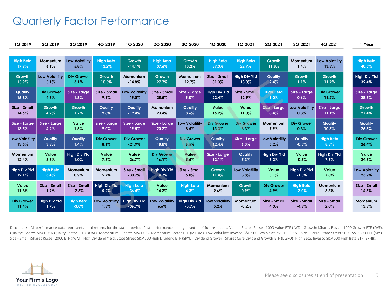### Quarterly Factor Performance

| 1Q 2019               | 2Q 2019               | 3Q 2019               | 4Q 2019               | 1Q 2020               | 2Q 2020               | 3Q 2020               | 4Q 2020               | 1Q 2021               | 2Q 2021               | 3Q 2021               | 4Q 2021               | 1 Year                |
|-----------------------|-----------------------|-----------------------|-----------------------|-----------------------|-----------------------|-----------------------|-----------------------|-----------------------|-----------------------|-----------------------|-----------------------|-----------------------|
|                       |                       |                       |                       |                       |                       |                       |                       |                       |                       |                       |                       |                       |
| <b>High Beta</b>      | Momentum              | <b>Low Volatility</b> | <b>High Beta</b>      | Growth                | <b>High Beta</b>      | Growth                | <b>High Beta</b>      | <b>High Beta</b>      | Growth                | Momentum              | <b>Low Volatility</b> | <b>High Beta</b>      |
| 17.9%                 | 6.1%                  | 5.8%                  | 13.2%                 | $-14.1%$              | 37.6%                 | 13.2%                 | 37.3%                 | 22.7%                 | 11.8%                 | 1.4%                  | 13.3%                 | 40.5%                 |
| Growth                | <b>Low Volatility</b> | <b>Div Grower</b>     | Growth                | Momentum              | Growth                | Momentum              | Size - Small          | <b>High Div Yld</b>   | Quality               | Growth                | Growth                | <b>High Div Yld</b>   |
| 15.9%                 | 5.1%                  | 3.1%                  | 10.5%                 | $-14.8%$              | 27.7%                 | 12.7%                 | 31.3%                 | 18.8%                 | 9.4%                  | 1.1%                  | 11.7%                 | 32.4%                 |
| <b>Quality</b>        | <b>Div Grower</b>     | Size - Large          | Size - Small          | <b>Low Volatility</b> | Size - Small          | Size - Large          | <b>High Div Yld</b>   | Size - Small          | <b>High Beta</b>      | Size - Large          | <b>Div Grower</b>     | Size - Large          |
| 15.8%                 | 4.6%                  | 1.8%                  | 9.9%                  | $-19.0%$              | 25.5%                 | 9.0%                  | 22.4%                 | 12.9%                 | 9.0%                  | 0.6%                  | 11.2%                 | 28.6%                 |
| Size - Small          | Growth                | Growth                | Quality               | Quality               | Momentum              | Quality               | Value                 | Value                 | Size - Large          | <b>Low Volatility</b> | Size - Large          | Growth                |
| 14.6%                 | 4.2%                  | 1.7%                  | 9.8%                  | $-19.4%$              | 23.4%                 | 8.6%                  | 16.2%                 | 11.3%                 | 8.4%                  | 0.3%                  | 11.1%                 | 27.4%                 |
| Size - Large          | Size - Large          | Value                 | Size - Large          | Size - Large          | Size - Large          | <b>Low Volatility</b> | <b>Div Grower</b>     | <b>Div Grower</b>     | Momentum              | <b>Div Grower</b>     | Quality               | Quality               |
| 13.5%                 | 4.2%                  | 1.5%                  | 9.0%                  | $-19.5%$              | 20.2%                 | 8.5%                  | 13.3%                 | 8.3%                  | 7.9%                  | 0.3%                  | 10.8%                 | 26.8%                 |
| <b>Low Volatility</b> | Quality               | Quality               | <b>Div Grower</b>     | <b>Div Grower</b>     | Quality               | <b>Div Grower</b>     | Quality               | Size - Larae          | <b>Low Volatility</b> | Quality               | <b>High Beta</b>      | <b>Div Grower</b>     |
| 13.5%                 | 3.8%                  | 1.4%                  | 8.1%                  | $-21.9%$              | 18.8%                 | 6.5%                  | 12.4%                 | 6.3%                  | 5.2%                  | $-0.5%$               | 8.3%                  | 26.4%                 |
| Momentum              | Value                 | <b>High Div Yld</b>   | Value                 | Value                 | <b>Div Grower</b>     | Value                 | Size - Large          | Quality               | <b>High Div Yld</b>   | Value                 | <b>High Div Yld</b>   | Value                 |
| 12.4%                 | 3.6%                  | 1.0%                  | 7.3%                  | $-26.7%$              | 16.1%                 | 5.5%                  | 12.1%                 | 5.3%                  | 5.2%                  | $-0.8%$               | 7.8%                  | 24.8%                 |
| <b>High Div Yld</b>   | <b>High Beta</b>      | Momentum              | Momentum              | Size - Small          | <b>High Div Yld</b>   | Size - Small          | Growth                | <b>Low Volatility</b> | Value                 | <b>High Div Yld</b>   | Value                 | <b>Low Volatility</b> |
| 12.1%                 | 3.4%                  | 0.9%                  | 5.7%                  | $-30.7%$              | 14.7%                 | 5.0%                  | 11.4%                 | 3.8%                  | 5.1%                  | $-1.5%$               | 7.8%                  | 23.9%                 |
| Value                 | Size - Small          | Size - Small          | <b>High Div Yld</b>   | <b>High Beta</b>      | Value                 | <b>High Beta</b>      | Momentum              | Growth                | <b>Div Grower</b>     | <b>High Beta</b>      | Momentum              | Size - Small          |
| 11.8%                 | 1.9%                  | $-2.3%$               | 5.2%                  | $-36.4%$              | 14.3%                 | 4.3%                  | 9.6%                  | 0.9%                  | 4.9%                  | $-3.0%$               | 3.8%                  | 14.5%                 |
| <b>Div Grower</b>     | <b>High Div Yld</b>   | <b>High Beta</b>      | <b>Low Volatility</b> | <b>High Div Yld</b>   | <b>Low Volatility</b> | <b>High Div Yld</b>   | <b>Low Volatility</b> | Momentum              | Size - Small          | Size - Small          | Size - Small          | Momentum              |
| 11.4%                 | 1.7%                  | $-3.0%$               | 1.3%                  | $-36.7%$              | 6.6%                  | $-0.7%$               | 5.2%                  | $-0.2%$               | 4.0%                  | $-4.3%$               | 2.0%                  | 13.3%                 |

Disclosures: All performance data represents total returns for the stated period. Past performance is no guarantee of future results. Value: iShares Russell 1000 Value ETF (IWD), Growth: iShares Russell 1000 Growth ETF (IW Quality: iShares MSCI USA Quality Factor ETF (QUAL), Momentum: iShares MSCI USA Momentum Factor ETF (MTUM), Low Volatility: Invesco S&P 500 Low Volatility ETF (SPLV), Size - Large: State Street SPDR S&P 500 ETF (SPY), Size - Small: iShares Russell 2000 ETF (IWM), High Dividend Yield: State Street S&P 500 High Dividend ETF (SPYD), Dividend Grower: iShares Core Dividend Growth ETF (DGRO), High Beta: Invesco S&P 500 High Beta ETF (SPHB).

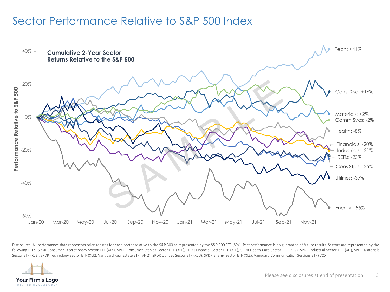### Sector Performance Relative to S&P 500 Index



Disclosures: All performance data represents price returns for each sector relative to the S&P 500 as represented by the S&P 500 ETF (SPY). Past performance is no guarantee of future results. Sectors are represented by the following ETFs: SPDR Consumer Discretionary Sector ETF (XLY), SPDR Consumer Staples Sector ETF (XLP), SPDR Financial Sector ETF (XLF), SPDR Health Care Sector ETF (XLV), SPDR Industrial Sector ETF (XLI), SPDR Materials Sector ETF (XLB), SPDR Technology Sector ETF (XLK), Vanguard Real Estate ETF (VNQ), SPDR Utilities Sector ETF (XLU), SPDR Energy Sector ETF (XLE), Vanguard Communication Services ETF (VOX).

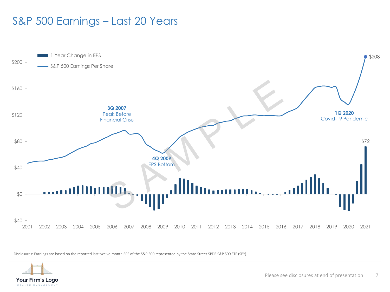### S&P 500 Earnings – Last 20 Years



Disclosures: Earnings are based on the reported last twelve-month EPS of the S&P 500 represented by the State Street SPDR S&P 500 ETF (SPY).



Please see disclosures at end of presentation 7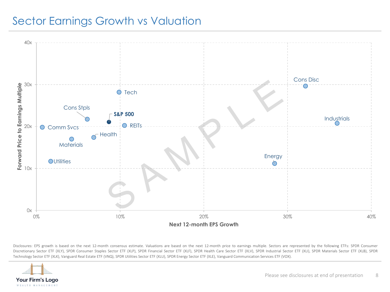### Sector Earnings Growth vs Valuation



Disclosures: EPS growth is based on the next 12-month consensus estimate. Valuations are based on the next 12-month price to earnings multiple. Sectors are represented by the following ETFs: SPDR Consumer Discretionary Sector ETF (XLY), SPDR Consumer Staples Sector ETF (XLP), SPDR Financial Sector ETF (XLF), SPDR Health Care Sector ETF (XLV), SPDR Industrial Sector ETF (XLI), SPDR Materials Sector ETF (XLB), SPDR Technology Sector ETF (XLK), Vanguard Real Estate ETF (VNQ), SPDR Utilities Sector ETF (XLU), SPDR Energy Sector ETF (XLE), Vanguard Communication Services ETF (VOX).

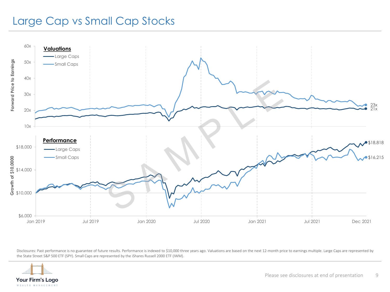### Large Cap vs Small Cap Stocks



Disclosures: Past performance is no guarantee of future results. Performance is indexed to \$10,000 three years ago. Valuations are based on the next 12-month price to earnings multiple. Large Caps are represented by the State Street S&P 500 ETF (SPY). Small Caps are represented by the iShares Russell 2000 ETF (IWM).

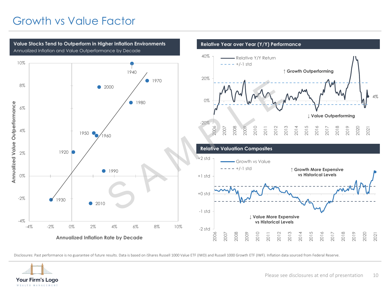### Growth vs Value Factor



Disclosures: Past performance is no guarantee of future results. Data is based on iShares Russell 1000 Value ETF (IWD) and Russell 1000 Growth ETF (IWF). Inflation data sourced from Federal Reserve.

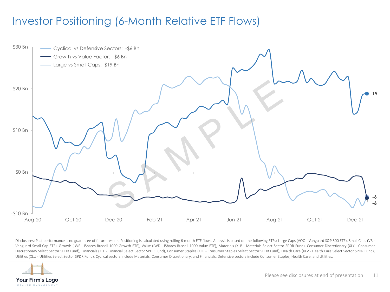### Investor Positioning (6-Month Relative ETF Flows)



Disclosures: Past performance is no guarantee of future results. Positioning is calculated using rolling 6-month ETF flows. Analysis is based on the following ETFs: Large Caps (VOO - Vanguard S&P 500 ETF), Small Caps (VB -Vanguard Small-Cap ETF), Growth (IWF - iShares Russell 1000 Growth ETF), Value (IWD - iShares Russell 1000 Value ETF), Materials (XLB - Materials Select Sector SPDR Fund), Consumer Discretionary (XLY - Consumer Discretionary Select Sector SPDR Fund), Financials (XLF - Financial Select Sector SPDR Fund), Consumer Staples (XLP - Consumer Staples Select Sector SPDR Fund), Health Care (XLV - Health Care Select Sector SPDR Fund), Utilities (XLU - Utilities Select Sector SPDR Fund). Cyclical sectors include Materials, Consumer Discretionary, and Financials. Defensive sectors include Consumer Staples, Health Care, and Utilities.

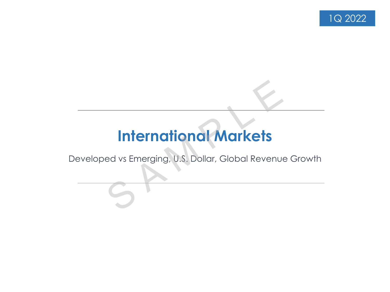

# **International Markets International Markets**<br>ed vs Emerging, U.S. Dollar, Global Revenue<br>S

Developed vs Emerging, U.S. Dollar, Global Revenue Growth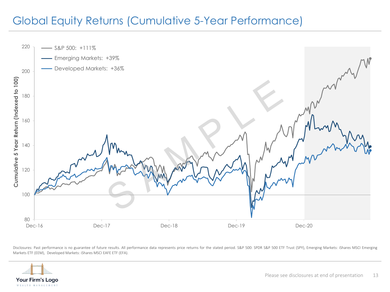### Global Equity Returns (Cumulative 5-Year Performance)



Disclosures: Past performance is no guarantee of future results. All performance data represents price returns for the stated period. S&P 500: SPDR S&P 500 ETF Trust (SPY), Emerging Markets: iShares MSCI Emerging Markets ETF (EEM), Developed Markets: iShares MSCI EAFE ETF (EFA).

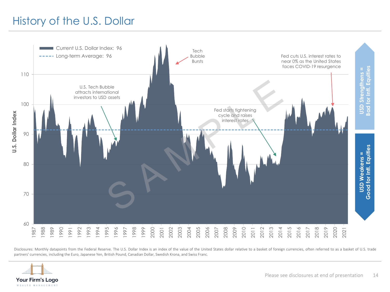### History of the U.S. Dollar



Disclosures: Monthly datapoints from the Federal Reserve. The U.S. Dollar Index is an index of the value of the United States dollar relative to a basket of foreign currencies, often referred to as a basket of U.S. trade

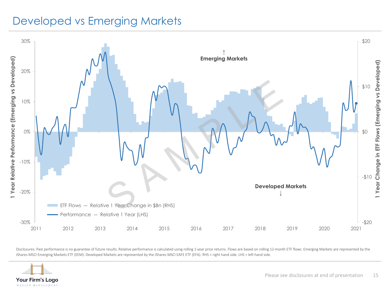### Developed vs Emerging Markets



Disclosures: Past performance is no guarantee of future results. Relative performance is calculated using rolling 1-year price returns. Flows are based on rolling 12-month ETF flows. Emerging Markets are represented by the iShares MSCI Emerging Markets ETF (EEM). Developed Markets are represented by the iShares MSCI EAFE ETF (EFA). RHS = right hand side. LHS = left hand side.

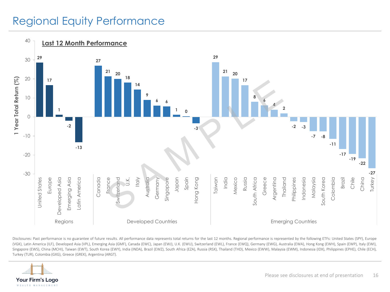### Regional Equity Performance



Disclosures: Past performance is no guarantee of future results. All performance data represents total returns for the last 12 months. Regional performance is represented by the following ETFs: United States (SPY), Europe (VGK), Latin America (ILF), Developed Asia (VPL), Emerging Asia (GMF), Canada (EWC), Japan (EWJ), U.K. (EWU), Switzerland (EWL), France (EWQ), Germany (EWG), Australia (EWA), Hong Kong (EWH), Spain (EWP), Italy (EWI), Singapore (EWS), China (MCHI), Taiwan (EWT), South Korea (EWY), India (INDA), Brazil (EWZ), South Africa (EZA), Russia (RSX), Thailand (THD), Mexico (EWW), Malaysia (EWM), Indonesia (IDX), Philippines (EPHE), Chile (ECH), Turkey (TUR), Colombia (GXG), Greece (GREK), Argentina (ARGT).

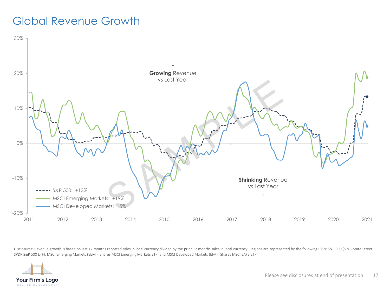### Global Revenue Growth



Disclosures: Revenue growth is based on last 12 months reported sales in local currency divided by the prior 12 months sales in local currency. Regions are represented by the following ETFs: S&P 500 (SPY - State Street SPDR S&P 500 ETF), MSCI Emerging Markets (EEM - iShares MSCI Emerging Markets ETF) and MSCI Developed Markets (EFA - iShares MSCI EAFE ETF).

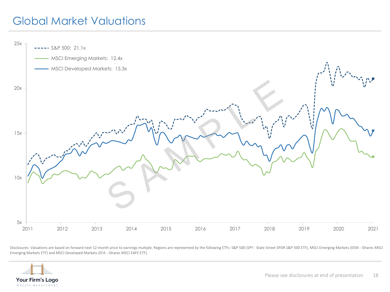## Global Market Valuations



Disclosures: Valuations are based on forward next 12-month price to earnings multiple. Regions are represented by the following ETFs: S&P 500 (SPY - State Street SPDR S&P 500 ETF), MSCI Emerging Markets (EEM - iShares MSCI Emerging Markets ETF) and MSCI Developed Markets (EFA - iShares MSCI EAFE ETF).

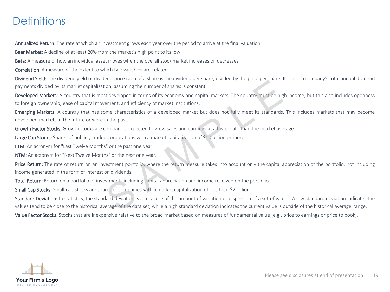### **Definitions**

Annualized Return: The rate at which an investment grows each year over the period to arrive at the final valuation.

Bear Market: A decline of at least 20% from the market's high point to its low.

Beta: A measure of how an individual asset moves when the overall stock market increases or decreases.

Correlation: A measure of the extent to which two variables are related.

Dividend Yield: The dividend yield or dividend-price ratio of a share is the dividend per share, divided by the price per share. It is also a company's total annual dividend payments divided by its market capitalization, assuming the number of shares is constant.

Developed Markets: A country that is most developed in terms of its economy and capital markets. The country must be high income, but this also includes openness to foreign ownership, ease of capital movement, and efficiency of market institutions. End pince train of a sinal to shares in content of shares in the pince of share. It developed in terms of its economy and capital markets. The country must be higherent, and efficiency of market institutions.<br>
In the past.

Emerging Markets: A country that has some characteristics of a developed market but does not fully meet its standards. This includes markets that may become developed markets in the future or were in the past.

Growth Factor Stocks: Growth stocks are companies expected to grow sales and earnings at a faster rate than the market average.

Large Cap Stocks: Shares of publicly traded corporations with a market capitalization of \$10 billion or more.

LTM: An acronym for "Last Twelve Months" or the past one year.

NTM: An acronym for "Next Twelve Months" or the next one year.

Price Return: The rate of return on an investment portfolio, where the return measure takes into account only the capital appreciation of the portfolio, not including income generated in the form of interest or dividends.

Total Return: Return on a portfolio of investments including capital appreciation and income received on the portfolio.

Small Cap Stocks: Small-cap stocks are shares of companies with a market capitalization of less than \$2 billion.

Standard Deviation: In statistics, the standard deviation is a measure of the amount of variation or dispersion of a set of values. A low standard deviation indicates the values tend to be close to the historical average of the data set, while a high standard deviation indicates the current value is outside of the historical average range.

Value Factor Stocks: Stocks that are inexpensive relative to the broad market based on measures of fundamental value (e.g., price to earnings or price to book).